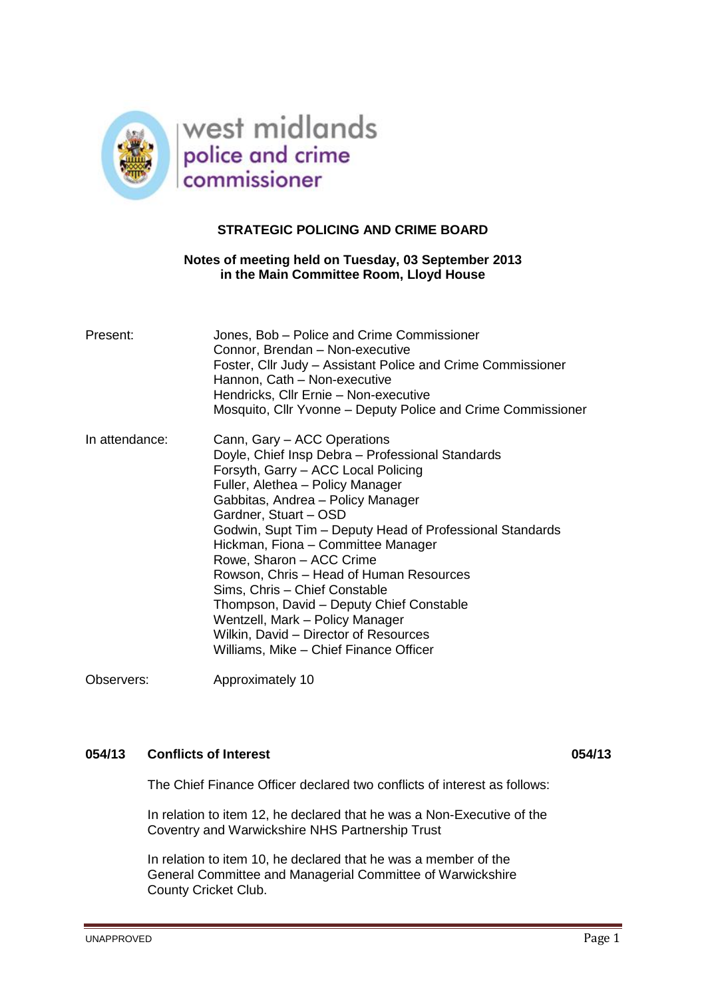

## **STRATEGIC POLICING AND CRIME BOARD**

## **Notes of meeting held on Tuesday, 03 September 2013 in the Main Committee Room, Lloyd House**

| Present:       | Jones, Bob – Police and Crime Commissioner<br>Connor, Brendan - Non-executive<br>Foster, Cllr Judy – Assistant Police and Crime Commissioner<br>Hannon, Cath - Non-executive<br>Hendricks, Cllr Ernie - Non-executive<br>Mosquito, Cllr Yvonne – Deputy Police and Crime Commissioner                                                                                                                                                                                                                                                                                                                |
|----------------|------------------------------------------------------------------------------------------------------------------------------------------------------------------------------------------------------------------------------------------------------------------------------------------------------------------------------------------------------------------------------------------------------------------------------------------------------------------------------------------------------------------------------------------------------------------------------------------------------|
| In attendance: | Cann, Gary - ACC Operations<br>Doyle, Chief Insp Debra - Professional Standards<br>Forsyth, Garry - ACC Local Policing<br>Fuller, Alethea - Policy Manager<br>Gabbitas, Andrea - Policy Manager<br>Gardner, Stuart - OSD<br>Godwin, Supt Tim – Deputy Head of Professional Standards<br>Hickman, Fiona - Committee Manager<br>Rowe, Sharon - ACC Crime<br>Rowson, Chris – Head of Human Resources<br>Sims, Chris - Chief Constable<br>Thompson, David – Deputy Chief Constable<br>Wentzell, Mark - Policy Manager<br>Wilkin, David - Director of Resources<br>Williams, Mike - Chief Finance Officer |

Observers: Approximately 10

# **054/13 Conflicts of Interest 054/13**

The Chief Finance Officer declared two conflicts of interest as follows:

In relation to item 12, he declared that he was a Non-Executive of the Coventry and Warwickshire NHS Partnership Trust

In relation to item 10, he declared that he was a member of the General Committee and Managerial Committee of Warwickshire County Cricket Club.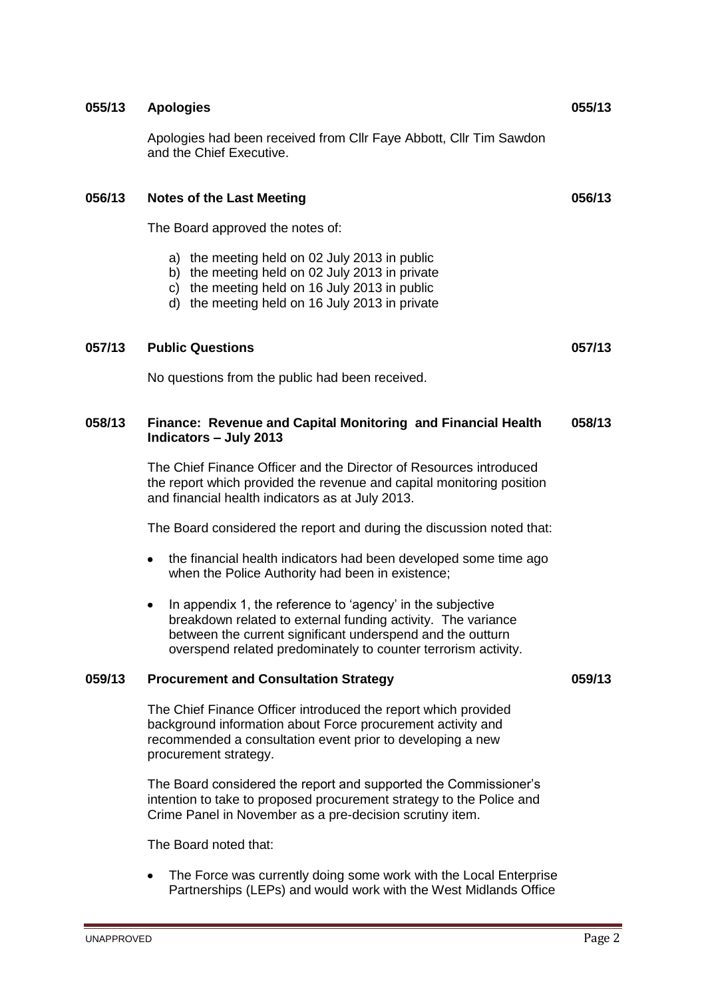# **055/13 Apologies 055/13**

Apologies had been received from Cllr Faye Abbott, Cllr Tim Sawdon and the Chief Executive.

## **056/13 Notes of the Last Meeting 056/13**

The Board approved the notes of:

- a) the meeting held on 02 July 2013 in public
- b) the meeting held on 02 July 2013 in private
- c) the meeting held on 16 July 2013 in public
- d) the meeting held on 16 July 2013 in private

## **057/13 Public Questions 057/13**

No questions from the public had been received.

#### **058/13 Finance: Revenue and Capital Monitoring and Financial Health Indicators – July 2013 058/13**

The Chief Finance Officer and the Director of Resources introduced the report which provided the revenue and capital monitoring position and financial health indicators as at July 2013.

The Board considered the report and during the discussion noted that:

- the financial health indicators had been developed some time ago when the Police Authority had been in existence;
- In appendix 1, the reference to 'agency' in the subjective  $\bullet$ breakdown related to external funding activity. The variance between the current significant underspend and the outturn overspend related predominately to counter terrorism activity.

## **059/13 Procurement and Consultation Strategy 059/13**

The Chief Finance Officer introduced the report which provided background information about Force procurement activity and recommended a consultation event prior to developing a new procurement strategy.

The Board considered the report and supported the Commissioner's intention to take to proposed procurement strategy to the Police and Crime Panel in November as a pre-decision scrutiny item.

The Board noted that:

The Force was currently doing some work with the Local Enterprise Partnerships (LEPs) and would work with the West Midlands Office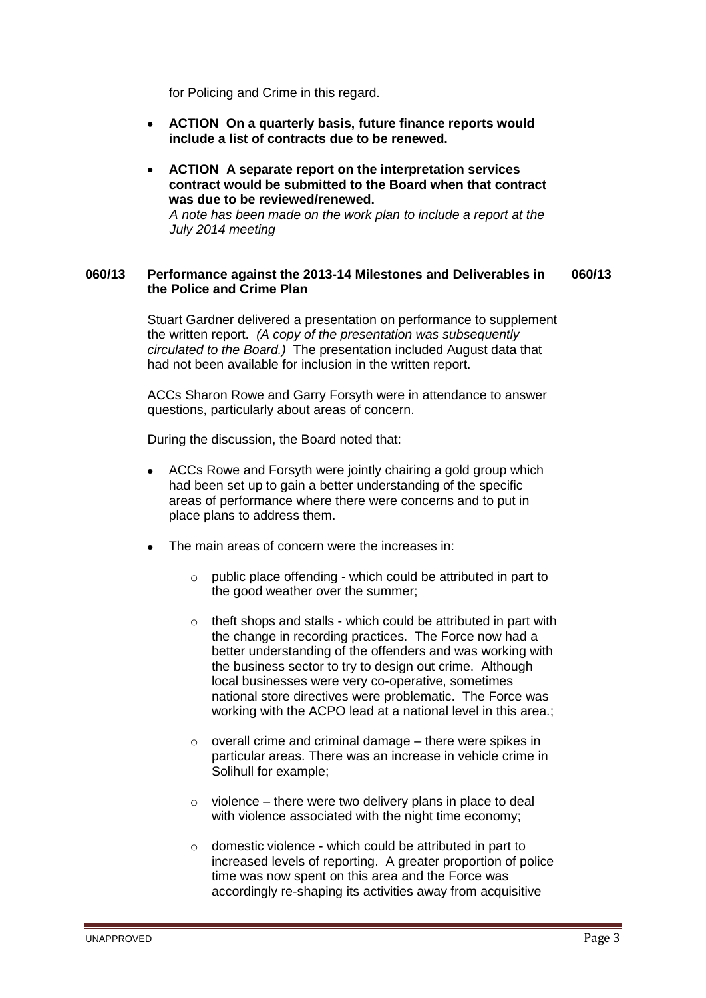for Policing and Crime in this regard.

- **ACTION On a quarterly basis, future finance reports would include a list of contracts due to be renewed.**
- **ACTION A separate report on the interpretation services contract would be submitted to the Board when that contract was due to be reviewed/renewed.** *A note has been made on the work plan to include a report at the July 2014 meeting*

#### **060/13 Performance against the 2013-14 Milestones and Deliverables in the Police and Crime Plan 060/13**

Stuart Gardner delivered a presentation on performance to supplement the written report. *(A copy of the presentation was subsequently circulated to the Board.)* The presentation included August data that had not been available for inclusion in the written report.

ACCs Sharon Rowe and Garry Forsyth were in attendance to answer questions, particularly about areas of concern.

During the discussion, the Board noted that:

- ACCs Rowe and Forsyth were jointly chairing a gold group which had been set up to gain a better understanding of the specific areas of performance where there were concerns and to put in place plans to address them.
- The main areas of concern were the increases in:
	- $\circ$  public place offending which could be attributed in part to the good weather over the summer;
	- $\circ$  theft shops and stalls which could be attributed in part with the change in recording practices. The Force now had a better understanding of the offenders and was working with the business sector to try to design out crime. Although local businesses were very co-operative, sometimes national store directives were problematic. The Force was working with the ACPO lead at a national level in this area.;
	- $\circ$  overall crime and criminal damage there were spikes in particular areas. There was an increase in vehicle crime in Solihull for example;
	- $\circ$  violence there were two delivery plans in place to deal with violence associated with the night time economy;
	- o domestic violence which could be attributed in part to increased levels of reporting. A greater proportion of police time was now spent on this area and the Force was accordingly re-shaping its activities away from acquisitive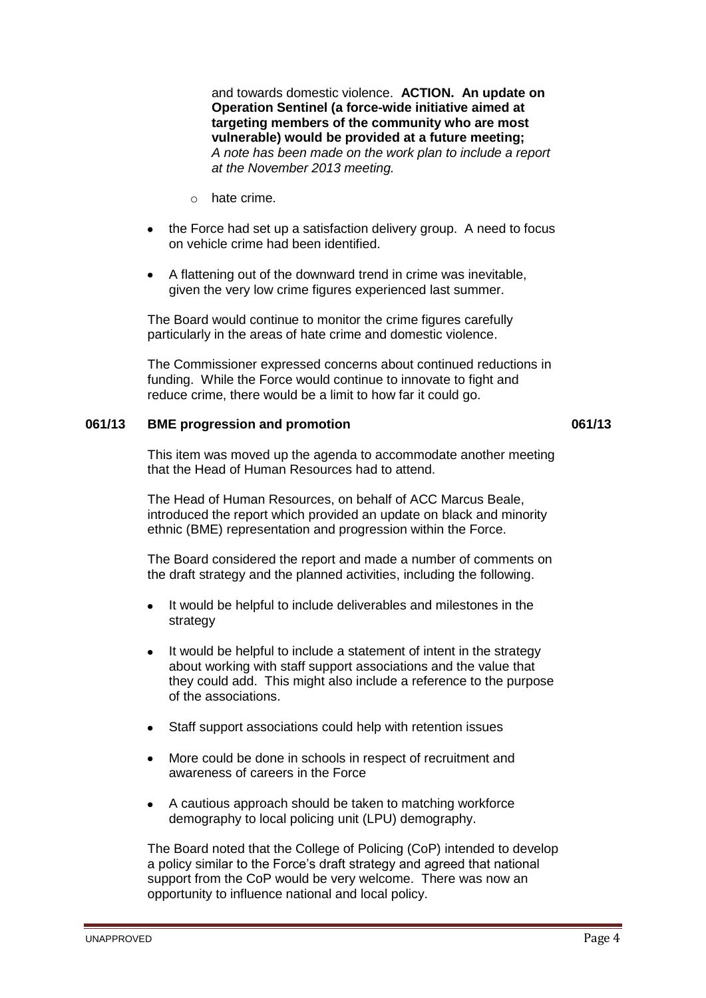and towards domestic violence. **ACTION. An update on Operation Sentinel (a force-wide initiative aimed at targeting members of the community who are most vulnerable) would be provided at a future meeting;** *A note has been made on the work plan to include a report at the November 2013 meeting.*

- o hate crime.
- the Force had set up a satisfaction delivery group. A need to focus on vehicle crime had been identified.
- A flattening out of the downward trend in crime was inevitable, given the very low crime figures experienced last summer.

The Board would continue to monitor the crime figures carefully particularly in the areas of hate crime and domestic violence.

The Commissioner expressed concerns about continued reductions in funding. While the Force would continue to innovate to fight and reduce crime, there would be a limit to how far it could go.

## **061/13 BME progression and promotion 061/13**

This item was moved up the agenda to accommodate another meeting that the Head of Human Resources had to attend.

The Head of Human Resources, on behalf of ACC Marcus Beale, introduced the report which provided an update on black and minority ethnic (BME) representation and progression within the Force.

The Board considered the report and made a number of comments on the draft strategy and the planned activities, including the following.

- It would be helpful to include deliverables and milestones in the strategy
- It would be helpful to include a statement of intent in the strategy about working with staff support associations and the value that they could add. This might also include a reference to the purpose of the associations.
- Staff support associations could help with retention issues
- More could be done in schools in respect of recruitment and awareness of careers in the Force
- $\bullet$ A cautious approach should be taken to matching workforce demography to local policing unit (LPU) demography.

The Board noted that the College of Policing (CoP) intended to develop a policy similar to the Force's draft strategy and agreed that national support from the CoP would be very welcome. There was now an opportunity to influence national and local policy.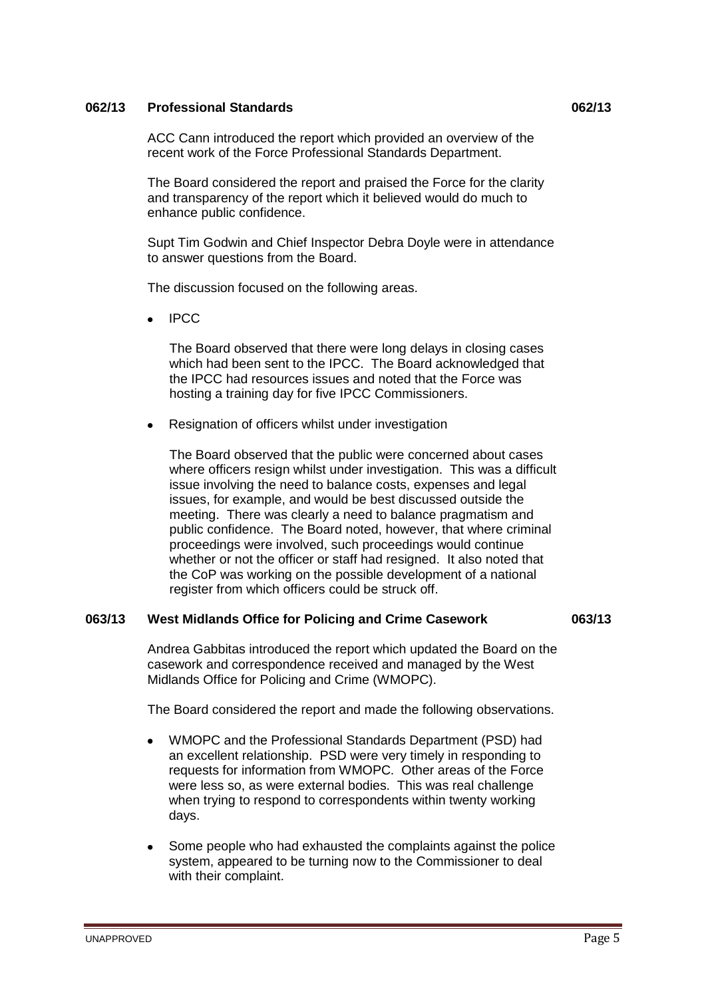## **062/13 Professional Standards 062/13**

ACC Cann introduced the report which provided an overview of the recent work of the Force Professional Standards Department.

The Board considered the report and praised the Force for the clarity and transparency of the report which it believed would do much to enhance public confidence.

Supt Tim Godwin and Chief Inspector Debra Doyle were in attendance to answer questions from the Board.

The discussion focused on the following areas.

IPCC

The Board observed that there were long delays in closing cases which had been sent to the IPCC. The Board acknowledged that the IPCC had resources issues and noted that the Force was hosting a training day for five IPCC Commissioners.

Resignation of officers whilst under investigation

The Board observed that the public were concerned about cases where officers resign whilst under investigation. This was a difficult issue involving the need to balance costs, expenses and legal issues, for example, and would be best discussed outside the meeting. There was clearly a need to balance pragmatism and public confidence. The Board noted, however, that where criminal proceedings were involved, such proceedings would continue whether or not the officer or staff had resigned. It also noted that the CoP was working on the possible development of a national register from which officers could be struck off.

#### **063/13 West Midlands Office for Policing and Crime Casework 063/13**

Andrea Gabbitas introduced the report which updated the Board on the casework and correspondence received and managed by the West Midlands Office for Policing and Crime (WMOPC).

The Board considered the report and made the following observations.

- WMOPC and the Professional Standards Department (PSD) had an excellent relationship. PSD were very timely in responding to requests for information from WMOPC. Other areas of the Force were less so, as were external bodies. This was real challenge when trying to respond to correspondents within twenty working days.
- Some people who had exhausted the complaints against the police system, appeared to be turning now to the Commissioner to deal with their complaint.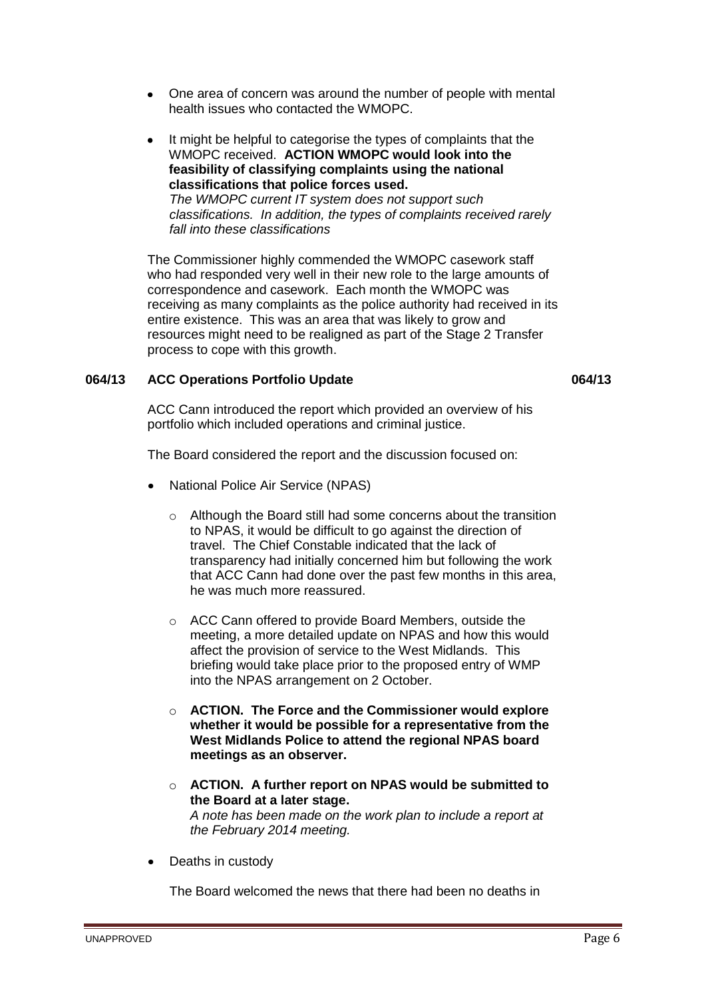- One area of concern was around the number of people with mental health issues who contacted the WMOPC.
- It might be helpful to categorise the types of complaints that the WMOPC received. **ACTION WMOPC would look into the feasibility of classifying complaints using the national classifications that police forces used.** *The WMOPC current IT system does not support such classifications. In addition, the types of complaints received rarely fall into these classifications*

The Commissioner highly commended the WMOPC casework staff who had responded very well in their new role to the large amounts of correspondence and casework. Each month the WMOPC was receiving as many complaints as the police authority had received in its entire existence. This was an area that was likely to grow and resources might need to be realigned as part of the Stage 2 Transfer process to cope with this growth.

## **064/13 ACC Operations Portfolio Update 064/13**

ACC Cann introduced the report which provided an overview of his portfolio which included operations and criminal justice.

The Board considered the report and the discussion focused on:

- National Police Air Service (NPAS)
	- o Although the Board still had some concerns about the transition to NPAS, it would be difficult to go against the direction of travel. The Chief Constable indicated that the lack of transparency had initially concerned him but following the work that ACC Cann had done over the past few months in this area, he was much more reassured.
	- o ACC Cann offered to provide Board Members, outside the meeting, a more detailed update on NPAS and how this would affect the provision of service to the West Midlands. This briefing would take place prior to the proposed entry of WMP into the NPAS arrangement on 2 October.
	- o **ACTION. The Force and the Commissioner would explore whether it would be possible for a representative from the West Midlands Police to attend the regional NPAS board meetings as an observer.**
	- o **ACTION. A further report on NPAS would be submitted to the Board at a later stage.** *A note has been made on the work plan to include a report at the February 2014 meeting.*
- Deaths in custody

The Board welcomed the news that there had been no deaths in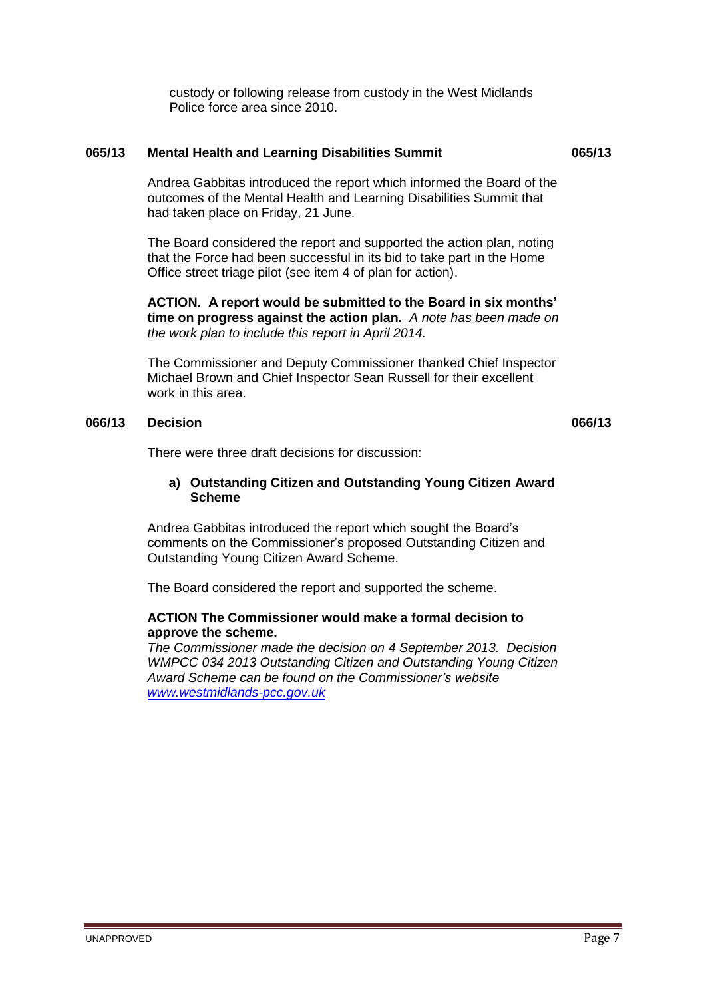custody or following release from custody in the West Midlands Police force area since 2010.

## **065/13 Mental Health and Learning Disabilities Summit 065/13**

Andrea Gabbitas introduced the report which informed the Board of the outcomes of the Mental Health and Learning Disabilities Summit that had taken place on Friday, 21 June.

The Board considered the report and supported the action plan, noting that the Force had been successful in its bid to take part in the Home Office street triage pilot (see item 4 of plan for action).

**ACTION. A report would be submitted to the Board in six months' time on progress against the action plan.** *A note has been made on the work plan to include this report in April 2014.*

The Commissioner and Deputy Commissioner thanked Chief Inspector Michael Brown and Chief Inspector Sean Russell for their excellent work in this area.

#### **066/13 Decision 066/13**

There were three draft decisions for discussion:

## **a) Outstanding Citizen and Outstanding Young Citizen Award Scheme**

Andrea Gabbitas introduced the report which sought the Board's comments on the Commissioner's proposed Outstanding Citizen and Outstanding Young Citizen Award Scheme.

The Board considered the report and supported the scheme.

## **ACTION The Commissioner would make a formal decision to approve the scheme.**

*The Commissioner made the decision on 4 September 2013. Decision WMPCC 034 2013 Outstanding Citizen and Outstanding Young Citizen Award Scheme can be found on the Commissioner's website [www.westmidlands-pcc.gov.uk](http://www.westmidlands-pcc.gov.uk/)*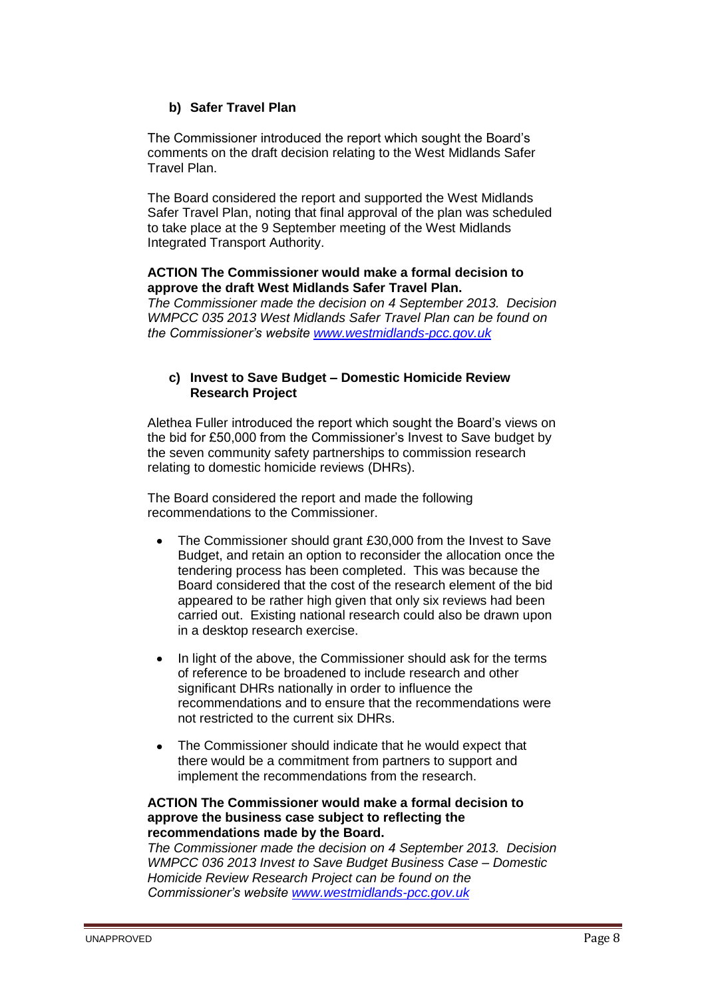# **b) Safer Travel Plan**

The Commissioner introduced the report which sought the Board's comments on the draft decision relating to the West Midlands Safer Travel Plan.

The Board considered the report and supported the West Midlands Safer Travel Plan, noting that final approval of the plan was scheduled to take place at the 9 September meeting of the West Midlands Integrated Transport Authority.

## **ACTION The Commissioner would make a formal decision to approve the draft West Midlands Safer Travel Plan.**

*The Commissioner made the decision on 4 September 2013. Decision WMPCC 035 2013 West Midlands Safer Travel Plan can be found on the Commissioner's website [www.westmidlands-pcc.gov.uk](http://www.westmidlands-pcc.gov.uk/)*

## **c) Invest to Save Budget – Domestic Homicide Review Research Project**

Alethea Fuller introduced the report which sought the Board's views on the bid for £50,000 from the Commissioner's Invest to Save budget by the seven community safety partnerships to commission research relating to domestic homicide reviews (DHRs).

The Board considered the report and made the following recommendations to the Commissioner.

- The Commissioner should grant £30,000 from the Invest to Save Budget, and retain an option to reconsider the allocation once the tendering process has been completed. This was because the Board considered that the cost of the research element of the bid appeared to be rather high given that only six reviews had been carried out. Existing national research could also be drawn upon in a desktop research exercise.
- In light of the above, the Commissioner should ask for the terms of reference to be broadened to include research and other significant DHRs nationally in order to influence the recommendations and to ensure that the recommendations were not restricted to the current six DHRs.
- The Commissioner should indicate that he would expect that there would be a commitment from partners to support and implement the recommendations from the research.

## **ACTION The Commissioner would make a formal decision to approve the business case subject to reflecting the recommendations made by the Board.**

*The Commissioner made the decision on 4 September 2013. Decision WMPCC 036 2013 Invest to Save Budget Business Case – Domestic Homicide Review Research Project can be found on the Commissioner's website [www.westmidlands-pcc.gov.uk](http://www.westmidlands-pcc.gov.uk/)*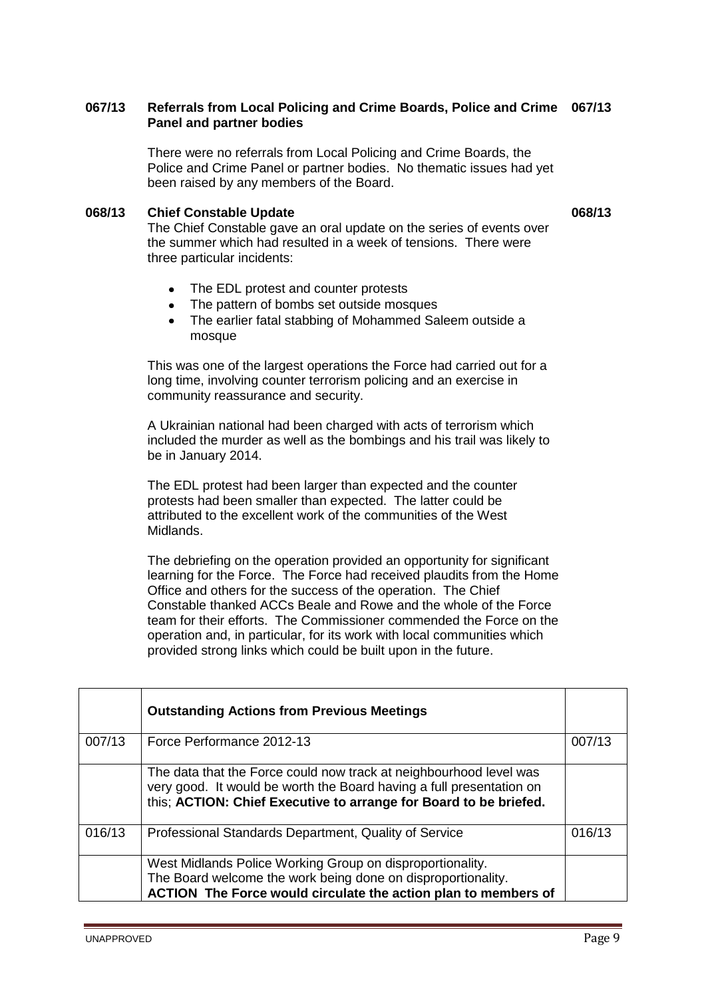## **067/13 Referrals from Local Policing and Crime Boards, Police and Crime 067/13 Panel and partner bodies**

There were no referrals from Local Policing and Crime Boards, the Police and Crime Panel or partner bodies. No thematic issues had yet been raised by any members of the Board.

#### **068/13 Chief Constable Update 068/13**

The Chief Constable gave an oral update on the series of events over the summer which had resulted in a week of tensions. There were three particular incidents:

- The EDL protest and counter protests
- The pattern of bombs set outside mosques
- $\bullet$ The earlier fatal stabbing of Mohammed Saleem outside a mosque

This was one of the largest operations the Force had carried out for a long time, involving counter terrorism policing and an exercise in community reassurance and security.

A Ukrainian national had been charged with acts of terrorism which included the murder as well as the bombings and his trail was likely to be in January 2014.

The EDL protest had been larger than expected and the counter protests had been smaller than expected. The latter could be attributed to the excellent work of the communities of the West Midlands.

The debriefing on the operation provided an opportunity for significant learning for the Force. The Force had received plaudits from the Home Office and others for the success of the operation. The Chief Constable thanked ACCs Beale and Rowe and the whole of the Force team for their efforts. The Commissioner commended the Force on the operation and, in particular, for its work with local communities which provided strong links which could be built upon in the future.

|        | <b>Outstanding Actions from Previous Meetings</b>                                                                                                                                                               |        |
|--------|-----------------------------------------------------------------------------------------------------------------------------------------------------------------------------------------------------------------|--------|
| 007/13 | Force Performance 2012-13                                                                                                                                                                                       | 007/13 |
|        | The data that the Force could now track at neighbourhood level was<br>very good. It would be worth the Board having a full presentation on<br>this; ACTION: Chief Executive to arrange for Board to be briefed. |        |
| 016/13 | Professional Standards Department, Quality of Service                                                                                                                                                           | 016/13 |
|        | West Midlands Police Working Group on disproportionality.<br>The Board welcome the work being done on disproportionality.<br>ACTION The Force would circulate the action plan to members of                     |        |